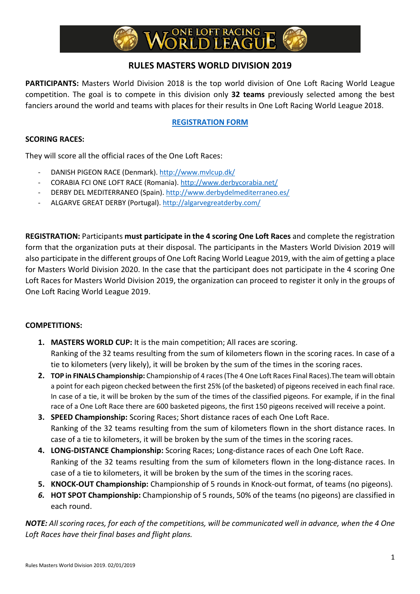# **RULES MASTERS WORLD DIVISION 2019**

**PARTICIPANTS:** Masters World Division 2018 is the top world division of One Loft Racing World League competition. The goal is to compete in this division only **32 teams** previously selected among the best fanciers around the world and teams with places for their results in One Loft Racing World League 2018.

# **REGISTRATION FORM**

## **SCORING RACES:**

They will score all the official races of the One Loft Races:

- DANISH PIGEON RACE (Denmark). http://www.mvlcup.dk/
- CORABIA FCI ONE LOFT RACE (Romania). http://www.derbycorabia.net/
- DERBY DEL MEDITERRANEO (Spain). http://www.derbydelmediterraneo.es/
- ALGARVE GREAT DERBY (Portugal). http://algarvegreatderby.com/

**REGISTRATION:** Participants **must participate in the 4 scoring One Loft Races** and complete the registration form that the organization puts at their disposal. The participants in the Masters World Division 2019 will also participate in the different groups of One Loft Racing World League 2019, with the aim of getting a place for Masters World Division 2020. In the case that the participant does not participate in the 4 scoring One Loft Races for Masters World Division 2019, the organization can proceed to register it only in the groups of One Loft Racing World League 2019.

### **COMPETITIONS:**

- **1. MASTERS WORLD CUP:** It is the main competition; All races are scoring. Ranking of the 32 teams resulting from the sum of kilometers flown in the scoring races. In case of a tie to kilometers (very likely), it will be broken by the sum of the times in the scoring races.
- **2. TOP in FINALS Championship:** Championship of 4 races (The 4 One Loft Races Final Races).The team will obtain a point for each pigeon checked between the first 25% (of the basketed) of pigeons received in each final race. In case of a tie, it will be broken by the sum of the times of the classified pigeons. For example, if in the final race of a One Loft Race there are 600 basketed pigeons, the first 150 pigeons received will receive a point.
- **3. SPEED Championship:** Scoring Races; Short distance races of each One Loft Race. Ranking of the 32 teams resulting from the sum of kilometers flown in the short distance races. In case of a tie to kilometers, it will be broken by the sum of the times in the scoring races.
- **4. LONG-DISTANCE Championship:** Scoring Races; Long-distance races of each One Loft Race. Ranking of the 32 teams resulting from the sum of kilometers flown in the long-distance races. In case of a tie to kilometers, it will be broken by the sum of the times in the scoring races.
- **5. KNOCK-OUT Championship:** Championship of 5 rounds in Knock-out format, of teams (no pigeons).
- *6.* **HOT SPOT Championship:** Championship of 5 rounds, 50% of the teams (no pigeons) are classified in each round.

*NOTE: All scoring races, for each of the competitions, will be communicated well in advance, when the 4 One Loft Races have their final bases and flight plans.*